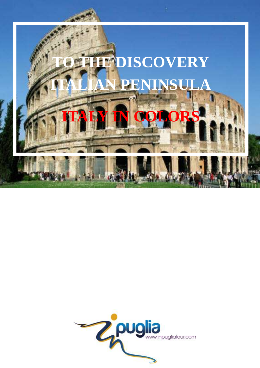

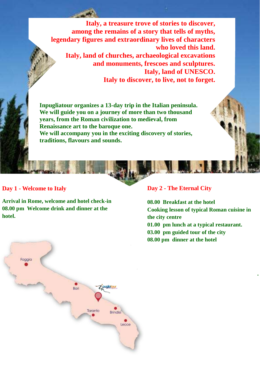**Italy, a treasure trove of stories to discover, among the remains of a story that tells of myths, legendary figures and extraordinary lives of characters who loved this land. Italy, land of churches, archaeological excavations and monuments, frescoes and sculptures. Italy, land of UNESCO. Italy to discover, to live, not to forget.** 

**Inpugliatour organizes a 13-day trip in the Italian peninsula. We will guide you on a journey of more than two thousand years, from the Roman civilization to medieval, from Renaissance art to the baroque one. We will accompany you in the exciting discovery of stories, traditions, flavours and sounds.** 

#### **Day 1 - Welcome to Italy**

**Arrival in Rome, welcome and hotel check-in 08.00 pm Welcome drink and dinner at the hotel.**



#### **Day 2 - The Eternal City**

**08.00 Breakfast at the hotel Cooking lesson of typical Roman cuisine in the city centre 01.00 pm lunch at a typical restaurant. 03.00 pm guided tour of the city 08.00 pm dinner at the hotel**

**.**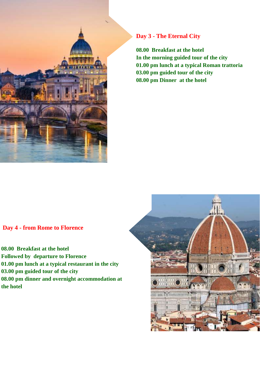

# **Day 3 - The Eternal City**

**08.00 Breakfast at the hotel In the morning guided tour of the city 01.00 pm lunch at a typical Roman trattoria 03.00 pm guided tour of the city 08.00 pm Dinner at the hotel**

#### **Day 4 - from Rome to Florence**

**08.00 Breakfast at the hotel Followed by departure to Florence 01.00 pm lunch at a typical restaurant in the city 03.00 pm guided tour of the city 08.00 pm dinner and overnight accommodation at the hotel**

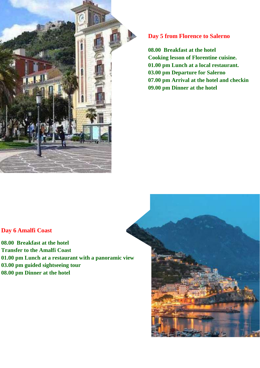

# **Day 5 from Florence to Salerno**

**08.00 Breakfast at the hotel Cooking lesson of Florentine cuisine. 01.00 pm Lunch at a local restaurant. 03.00 pm Departure for Salerno 07.00 pm Arrival at the hotel and checkin 09.00 pm Dinner at the hotel**

# **Day 6 Amalfi Coast**

**08.00 Breakfast at the hotel Transfer to the Amalfi Coast 01.00 pm Lunch at a restaurant with a panoramic view 03.00 pm guided sightseeing tour 08.00 pm Dinner at the hotel**

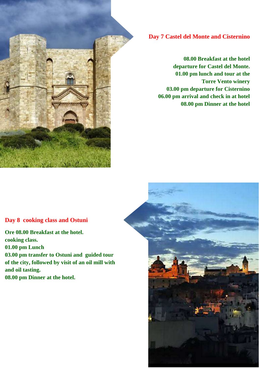

## **Day 7 Castel del Monte and Cisternino**

**08.00 Breakfast at the hotel departure for Castel del Monte. 01.00 pm lunch and tour at the Torre Vento winery 03.00 pm departure for Cisternino 06.00 pm arrival and check in at hotel 08.00 pm Dinner at the hotel**

### **Day 8 cooking class and Ostuni**

**Ore 08.00 Breakfast at the hotel. cooking class. 01.00 pm Lunch 03.00 pm transfer to Ostuni and guided tour of the city, followed by visit of an oil mill with and oil tasting. 08.00 pm Dinner at the hotel.**

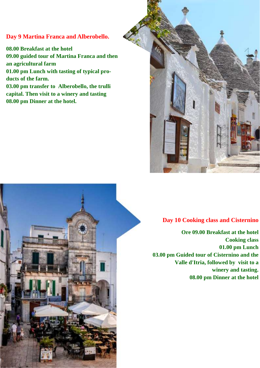# **Day 9 Martina Franca and Alberobello.**

**08.00 Breakfast at the hotel 09.00 guided tour of Martina Franca and then an agricultural farm 01.00 pm Lunch with tasting of typical products of the farm. 03.00 pm transfer to Alberobello, the trulli capital. Then visit to a winery and tasting 08.00 pm Dinner at the hotel.**



### **Day 10 Cooking class and Cisternino**

**Ore 09.00 Breakfast at the hotel Cooking class 01.00 pm Lunch 03.00 pm Guided tour of Cisternino and the Valle d'Itria, followed by visit to a winery and tasting. 08.00 pm Dinner at the hotel**

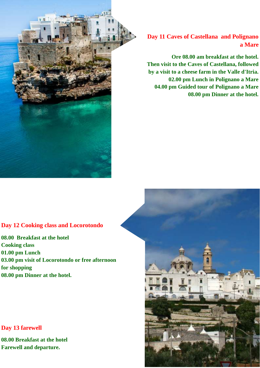

**Day 11 Caves of Castellana and Polignano a Mare**

**Ore 08.00 am breakfast at the hotel. Then visit to the Caves of Castellana, followed by a visit to a cheese farm in the Valle d'Itria. 02.00 pm Lunch in Polignano a Mare 04.00 pm Guided tour of Polignano a Mare 08.00 pm Dinner at the hotel.**

### **Day 12 Cooking class and Locorotondo**

**08.00 Breakfast at the hotel Cooking class 01.00 pm Lunch 03.00 pm visit of Locorotondo or free afternoon for shopping 08.00 pm Dinner at the hotel.** 

#### **Day 13 farewell**

**08.00 Breakfast at the hotel Farewell and departure.**

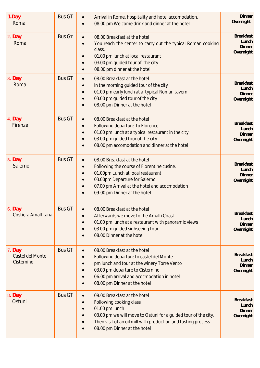| 1.Day<br>Roma                              | <b>Bus GT</b> | Arrival in Rome, hospitality and hotel accomodation.<br>08.00 pm Welcome drink and dinner at the hotel                                                                                                                                                | <b>Dinner</b><br>Overnight                              |
|--------------------------------------------|---------------|-------------------------------------------------------------------------------------------------------------------------------------------------------------------------------------------------------------------------------------------------------|---------------------------------------------------------|
| 2. Day<br>Roma                             | <b>Bus GT</b> | 08.00 Breakfast at the hotel<br>You reach the center to carry out the typical Roman cooking<br>class.<br>01.00 pm lunch at local restaurant<br>03.00 pm guided tour of the city<br>08.00 pm dinner at the hotel                                       | <b>Breakfast</b><br>Lunch<br><b>Dinner</b><br>Overnight |
| $3.$ Day<br>Roma                           | <b>Bus GT</b> | 08.00 Breakfast at the hotel<br>In the morning guided tour of the city<br>01.00 pm early lunch at a typical Roman tavern<br>03.00 pm guided tour of the city<br>08.00 pm Dinner at the hotel                                                          | <b>Breakfast</b><br>Lunch<br><b>Dinner</b><br>Overnight |
| 4. Day<br>Firenze                          | <b>Bus GT</b> | 08.00 Breakfast at the hotel<br>Following departure to Florence<br>01.00 pm lunch at a typical restaurant in the city<br>03.00 pm guided tour of the city<br>08.00 pm accomodation and dinner at the hotel                                            | <b>Breakfast</b><br>Lunch<br><b>Dinner</b><br>Overnight |
| <b>5.</b> Day<br>Salerno                   | <b>Bus GT</b> | 08.00 Breakfast at the hotel<br>$\bullet$<br>Following the course of Florentine cusine.<br>01.00pm Lunch at local restaurant<br>03.00pm Departure for Salerno<br>07.00 pm Arrival at the hotel and acocmodation<br>09.00 pm Dinner at the hotel       | <b>Breakfast</b><br>Lunch<br><b>Dinner</b><br>Overnight |
| 6. Day<br>Costiera Amalfitana              | <b>Bus GT</b> | 08.00 Breakfast at the hotel<br>Afterwards we move to the Amalfi Coast<br>01.00 pm lunch at a restaurant with panoramic views<br>03.00 pm guided sighseeing tour<br>08.00 Dinner at the hotel                                                         | <b>Breakfast</b><br>Lunch<br><b>Dinner</b><br>Overnight |
| $7.$ Day<br>Castel del Monte<br>Cisternino | <b>Bus GT</b> | 08.00 Breakfast at the hotel<br>$\bullet$<br>Following departure to castel del Monte<br>pm lunch and tour at the winery Torre Vento<br>03.00 pm departure to Cisternino<br>06.00 pm arrival and acocmodation in hotel<br>08.00 pm Dinner at the hotel | <b>Breakfast</b><br>Lunch<br><b>Dinner</b><br>Overnight |
| 8. Day<br>Ostuni                           | <b>Bus GT</b> | 08.00 Breakfast at the hotel<br>Following cooking class<br>01.00 pm lunch<br>03.00 pm we will move to Ostuni for a guided tour of the city.<br>Then visit of an oil mill with production and tasting process<br>08.00 pm Dinner at the hotel          | <b>Breakfast</b><br>Lunch<br><b>Dinner</b><br>Overnight |